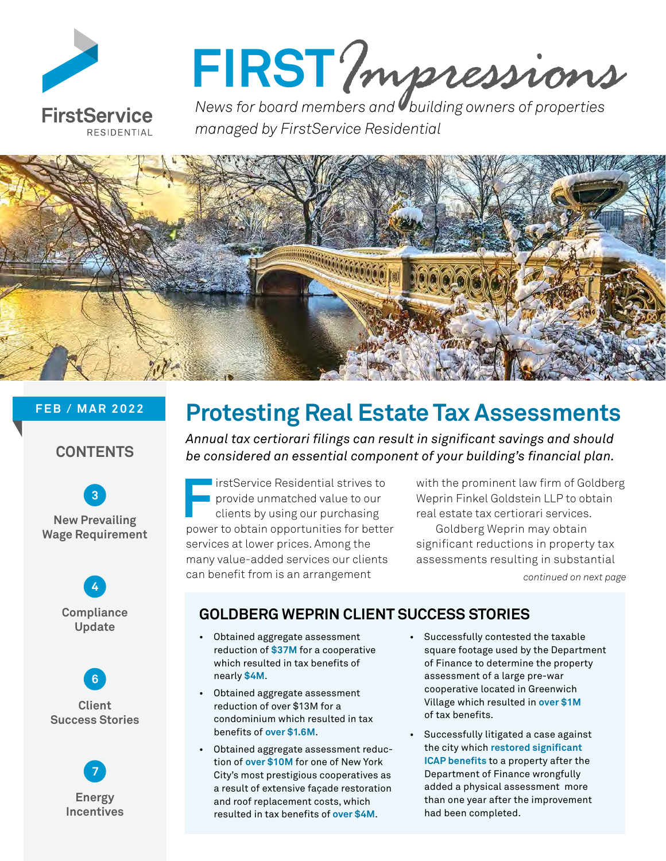

# FIRST? *mpressions*

*managed by FirstService Residential*



### **FEB / MAR 2022**

### **CONTENTS**









### **Protesting Real Estate Tax Assessments**

*Annual tax certiorari filings can result in significant savings and should be considered an essential component of your building's financial plan.*

**FirstService Residential strives to**<br> **First** provide unmatched value to our<br>
clients by using our purchasing<br> **Figure 10** obtain opportunities for batter provide unmatched value to our clients by using our purchasing power to obtain opportunities for better services at lower prices. Among the many value-added services our clients can benefit from is an arrangement

with the prominent law firm of Goldberg Weprin Finkel Goldstein LLP to obtain real estate tax certiorari services.

*continued on next page* Goldberg Weprin may obtain significant reductions in property tax assessments resulting in substantial

### **GOLDBERG WEPRIN CLIENT SUCCESS STORIES**

- Obtained aggregate assessment reduction of **\$37M** for a cooperative which resulted in tax benefits of nearly **\$4M**.
- Obtained aggregate assessment reduction of over \$13M for a condominium which resulted in tax benefits of **over \$1.6M**.
- Obtained aggregate assessment reduction of **over \$10M** for one of New York City's most prestigious cooperatives as a result of extensive façade restoration and roof replacement costs, which resulted in tax benefits of **over \$4M**.
- Successfully contested the taxable square footage used by the Department of Finance to determine the property assessment of a large pre-war cooperative located in Greenwich Village which resulted in **over \$1M** of tax benefits.
- Successfully litigated a case against the city which **restored significant ICAP benefits** to a property after the Department of Finance wrongfully added a physical assessment more than one year after the improvement had been completed.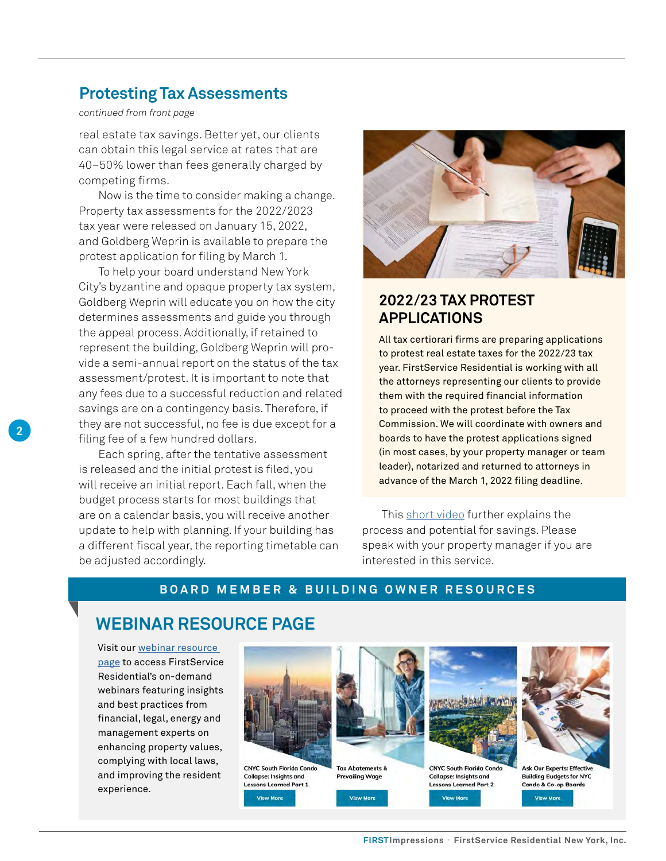### **Protesting Tax Assessments**

#### *continued from front page*

real estate tax savings. Better yet, our clients can obtain this legal service at rates that are 40–50% lower than fees generally charged by competing firms.

Now is the time to consider making a change. Property tax assessments for the 2022/2023 tax year were released on January 15, 2022, and Goldberg Weprin is available to prepare the protest application for filing by March 1.

To help your board understand New York City's byzantine and opaque property tax system, Goldberg Weprin will educate you on how the city determines assessments and guide you through the appeal process. Additionally, if retained to represent the building, Goldberg Weprin will provide a semi-annual report on the status of the tax assessment/protest. It is important to note that any fees due to a successful reduction and related savings are on a contingency basis. Therefore, if they are not successful, no fee is due except for a filing fee of a few hundred dollars.

Each spring, after the tentative assessment is released and the initial protest is filed, you will receive an initial report. Each fall, when the budget process starts for most buildings that are on a calendar basis, you will receive another update to help with planning. If your building has a different fiscal year, the reporting timetable can be adjusted accordingly.



### **2022/23 TAX PROTEST APPLICATIONS**

All tax certiorari firms are preparing applications to protest real estate taxes for the 2022/23 tax year. FirstService Residential is working with all the attorneys representing our clients to provide them with the required financial information to proceed with the protest before the Tax Commission. We will coordinate with owners and boards to have the protest applications signed (in most cases, by your property manager or team leader), notarized and returned to attorneys in advance of the March 1, 2022 filing deadline.

This [short video](https://www.youtube.com/watch?v=9kUNdk-EeFc) further explains the process and potential for savings. Please speak with your property manager if you are interested in this service.

### **BOARD MEMBER & BUILDING OWNER RESOURCES**

### **WEBINAR RESOURCE PAGE**

Visit our [webinar resource](https://www.fsresidential.com/new-york/news-events/webinar-library/)  [page](https://www.fsresidential.com/new-york/news-events/webinar-library/) to access FirstService Residential's on-demand webinars featuring insights and best practices from financial, legal, energy and management experts on enhancing property values, complying with local laws, and improving the resident experience.



**CNYC South Florida Cond Collapse: Insights and** Lessons Learned Part 1 **View More** 



**Tax Abatements & Prevailing Wage View More** 



**CNYC South Florida Con Collapse: Insights and Lessons Learned Part 2 View More** 



**Ask Our Experts: Effectiv Building Budgets for NYC** Condo & Co-op Boards **View More**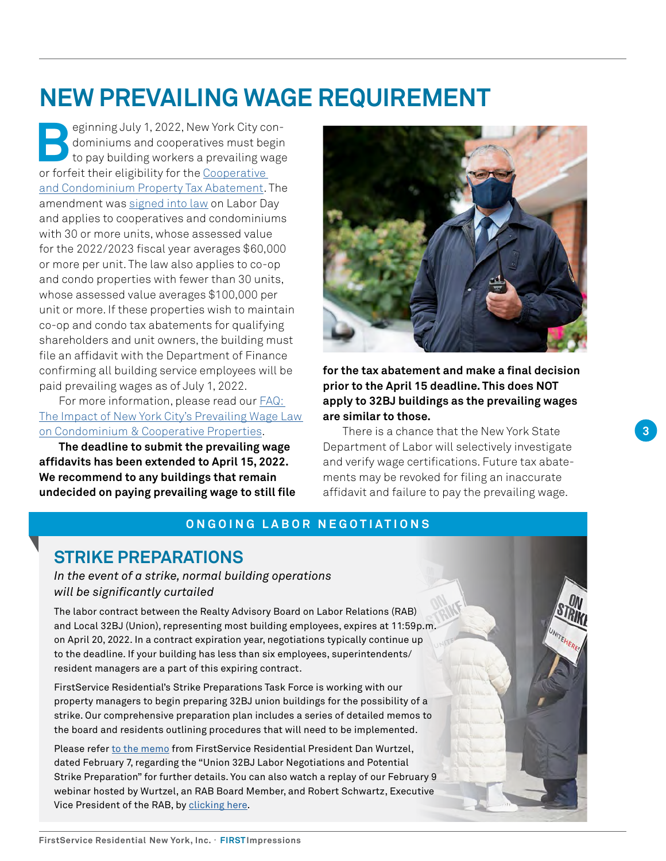### <span id="page-2-0"></span>**NEW PREVAILING WAGE REQUIREMENT**

**Beginning July 1, 2022, New York City con-**<br>dominiums and cooperatives must begin<br>to pay building workers a prevailing wage<br>or forfait their eligibility for the Cooperative dominiums and cooperatives must begin to pay building workers a prevailing wage or forfeit their eligibility for the Cooperative [and Condominium Property Tax Abatement.](https://www1.nyc.gov/site/finance/benefits/landlords-coop-condo.page) The amendment was [signed into law](https://www.nysenate.gov/legislation/bills/2021/A7434) on Labor Day and applies to cooperatives and condominiums with 30 or more units, whose assessed value for the 2022/2023 fiscal year averages \$60,000 or more per unit. The law also applies to co-op and condo properties with fewer than 30 units, whose assessed value averages \$100,000 per unit or more. If these properties wish to maintain co-op and condo tax abatements for qualifying shareholders and unit owners, the building must file an affidavit with the Department of Finance confirming all building service employees will be paid prevailing wages as of July 1, 2022.

For more information, please read our [FAQ:](https://www.fsresidential.com/new-york/news-events/articles-and-news/faq-the-impacts-of-new-york-city%E2%80%99s-prevailing-wage/)  [The Impact of New York City's Prevailing Wage Law](https://www.fsresidential.com/new-york/news-events/articles-and-news/faq-the-impacts-of-new-york-city%E2%80%99s-prevailing-wage/)  [on Condominium & Cooperative Properties.](https://www.fsresidential.com/new-york/news-events/articles-and-news/faq-the-impacts-of-new-york-city%E2%80%99s-prevailing-wage/)

**The deadline to submit the prevailing wage affidavits has been extended to April 15, 2022. We recommend to any buildings that remain undecided on paying prevailing wage to still file** 



**for the tax abatement and make a final decision prior to the April 15 deadline. This does NOT apply to 32BJ buildings as the prevailing wages are similar to those.**

There is a chance that the New York State Department of Labor will selectively investigate and verify wage certifications. Future tax abatements may be revoked for filing an inaccurate affidavit and failure to pay the prevailing wage.

### **ONGOING LABOR NEGOTIATIONS**

### **STRIKE PREPARATIONS**

*In the event of a strike, normal building operations will be significantly curtailed* 

The labor contract between the Realty Advisory Board on Labor Relations (RAB) and Local 32BJ (Union), representing most building employees, expires at 11:59p.m. on April 20, 2022. In a contract expiration year, negotiations typically continue up to the deadline. If your building has less than six employees, superintendents/ resident managers are a part of this expiring contract.

FirstService Residential's Strike Preparations Task Force is working with our property managers to begin preparing 32BJ union buildings for the possibility of a strike. Our comprehensive preparation plan includes a series of detailed memos to the board and residents outlining procedures that will need to be implemented.

Please refer [to the memo](https://lp.fsresidential.com/acton/attachment/34953/f-f6d495c4-4cfe-40bc-8324-ad70dc229086/1/-/-/-/-/Strike%20Preparation%20-%20Board%20%26%20Owner%20Memo.pdf) from FirstService Residential President Dan Wurtzel, dated February 7, regarding the "Union 32BJ Labor Negotiations and Potential Strike Preparation" for further details. You can also watch a replay of our February 9 webinar hosted by Wurtzel, an RAB Board Member, and Robert Schwartz, Executive Vice President of the RAB, by [clicking here](https://www.fsresidential.com/new-york/32bj-labor-negotiations-and-potential-strike-prep/32bj-labor-negotiations-and-potential-strike-prep/).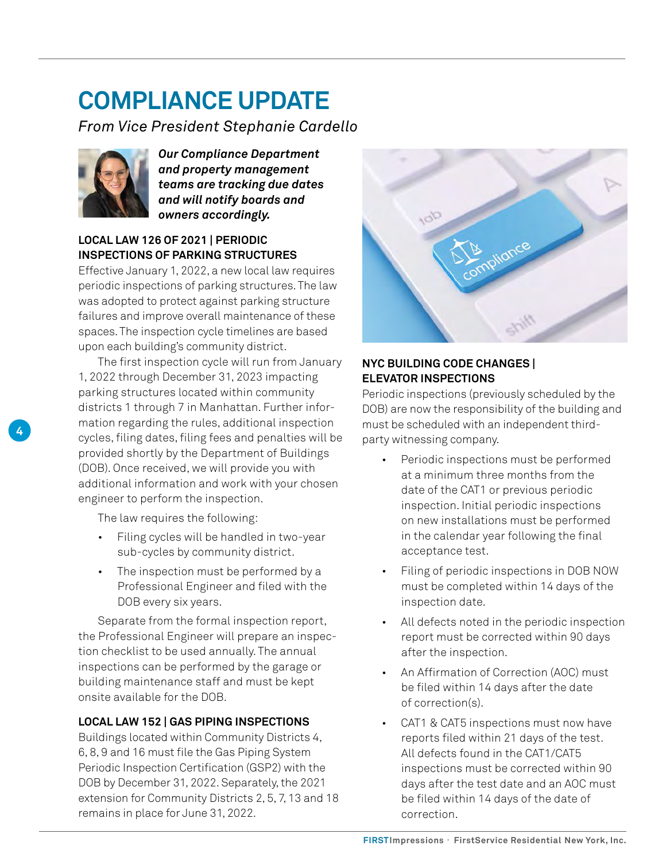### <span id="page-3-0"></span>**COMPLIANCE UPDATE**

*From Vice President Stephanie Cardello*



*Our Compliance Department and property management teams are tracking due dates and will notify boards and owners accordingly.*

### **LOCAL LAW 126 OF 2021 | PERIODIC INSPECTIONS OF PARKING STRUCTURES**

Effective January 1, 2022, a new local law requires periodic inspections of parking structures. The law was adopted to protect against parking structure failures and improve overall maintenance of these spaces. The inspection cycle timelines are based upon each building's community district.

The first inspection cycle will run from January 1, 2022 through December 31, 2023 impacting parking structures located within community districts 1 through 7 in Manhattan. Further information regarding the rules, additional inspection cycles, filing dates, filing fees and penalties will be provided shortly by the Department of Buildings (DOB). Once received, we will provide you with additional information and work with your chosen engineer to perform the inspection.

The law requires the following:

- Filing cycles will be handled in two-year sub-cycles by community district.
- The inspection must be performed by a Professional Engineer and filed with the DOB every six years.

Separate from the formal inspection report, the Professional Engineer will prepare an inspection checklist to be used annually. The annual inspections can be performed by the garage or building maintenance staff and must be kept onsite available for the DOB.

### **LOCAL LAW 152 | GAS PIPING INSPECTIONS**

Buildings located within Community Districts 4, 6, 8, 9 and 16 must file the Gas Piping System Periodic Inspection Certification (GSP2) with the DOB by December 31, 2022. Separately, the 2021 extension for Community Districts 2, 5, 7, 13 and 18 remains in place for June 31, 2022.



### **NYC BUILDING CODE CHANGES | ELEVATOR INSPECTIONS**

Periodic inspections (previously scheduled by the DOB) are now the responsibility of the building and must be scheduled with an independent thirdparty witnessing company.

- Periodic inspections must be performed at a minimum three months from the date of the CAT1 or previous periodic inspection. Initial periodic inspections on new installations must be performed in the calendar year following the final acceptance test.
- Filing of periodic inspections in DOB NOW must be completed within 14 days of the inspection date.
- All defects noted in the periodic inspection report must be corrected within 90 days after the inspection.
- An Affirmation of Correction (AOC) must be filed within 14 days after the date of correction(s).
- CAT1 & CAT5 inspections must now have reports filed within 21 days of the test. All defects found in the CAT1/CAT5 inspections must be corrected within 90 days after the test date and an AOC must be filed within 14 days of the date of correction.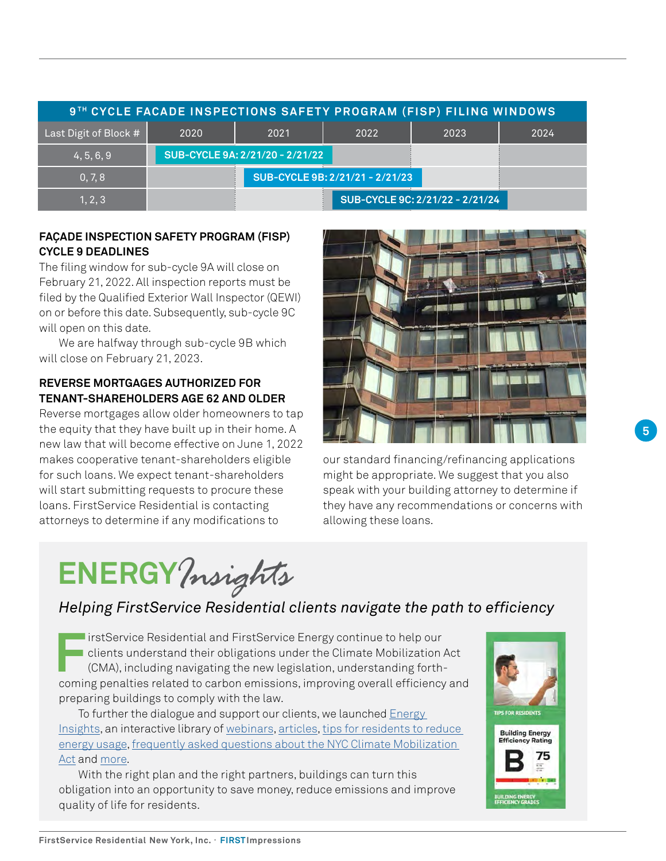| 9TH CYCLE FACADE INSPECTIONS SAFETY PROGRAM (FISP) FILING WINDOWS |                                 |      |      |                                 |      |
|-------------------------------------------------------------------|---------------------------------|------|------|---------------------------------|------|
| Last Digit of Block #                                             | 2020                            | 2021 | 2022 | 2023                            | 2024 |
| 4, 5, 6, 9                                                        | SUB-CYCLE 9A: 2/21/20 - 2/21/22 |      |      |                                 |      |
| 0, 7, 8                                                           | SUB-CYCLE 9B: 2/21/21 - 2/21/23 |      |      |                                 |      |
| 1, 2, 3                                                           |                                 |      |      | SUB-CYCLE 9C: 2/21/22 - 2/21/24 |      |

### **FAÇADE INSPECTION SAFETY PROGRAM (FISP) CYCLE 9 DEADLINES**

The filing window for sub-cycle 9A will close on February 21, 2022. All inspection reports must be filed by the Qualified Exterior Wall Inspector (QEWI) on or before this date. Subsequently, sub-cycle 9C will open on this date.

We are halfway through sub-cycle 9B which will close on February 21, 2023.

### **REVERSE MORTGAGES AUTHORIZED FOR TENANT-SHAREHOLDERS AGE 62 AND OLDER**

Reverse mortgages allow older homeowners to tap the equity that they have built up in their home. A new law that will become effective on June 1, 2022 makes cooperative tenant-shareholders eligible for such loans. We expect tenant-shareholders will start submitting requests to procure these loans. FirstService Residential is contacting attorneys to determine if any modifications to



our standard financing/refinancing applications might be appropriate. We suggest that you also speak with your building attorney to determine if they have any recommendations or concerns with allowing these loans.

### **ENERGY***Insights*

### *Helping FirstService Residential clients navigate the path to efficiency*

**First** FirstService Residential and FirstService Energy continue to help our<br>clients understand their obligations under the Climate Mobilization.<br>(CMA), including navigating the new legislation, understanding forth-<br>comin clients understand their obligations under the Climate Mobilization Act (CMA), including navigating the new legislation, understanding forthcoming penalties related to carbon emissions, improving overall efficiency and preparing buildings to comply with the law.

To further the dialogue and support our clients, we launched [Energy](https://firstserviceenergyinsights.fsresidential.com/home)  [Insights,](https://firstserviceenergyinsights.fsresidential.com/home) an interactive library of [webinars,](https://firstserviceenergyinsights.fsresidential.com/webinars) [articles,](https://firstserviceenergyinsights.fsresidential.com/articles) [tips for residents to reduce](https://firstserviceenergyinsights.fsresidential.com/tips-for-residents)  [energy usage,](https://firstserviceenergyinsights.fsresidential.com/tips-for-residents) [frequently asked questions about the NYC Climate Mobilization](https://lp.fsresidential.com/acton/attachment/34953/f-ef018b79-3c99-4eef-8574-7b7afe0dcaee/1/-/-/-/-/Climate%20Mobilization%20Act%20FAQ%28lo%29.pdf)  [Act](https://lp.fsresidential.com/acton/attachment/34953/f-ef018b79-3c99-4eef-8574-7b7afe0dcaee/1/-/-/-/-/Climate%20Mobilization%20Act%20FAQ%28lo%29.pdf) and [more.](https://firstserviceenergyinsights.fsresidential.com/energy-conservation-resources)

With the right plan and the right partners, buildings can turn this obligation into an opportunity to save money, reduce emissions and improve quality of life for residents.



**5**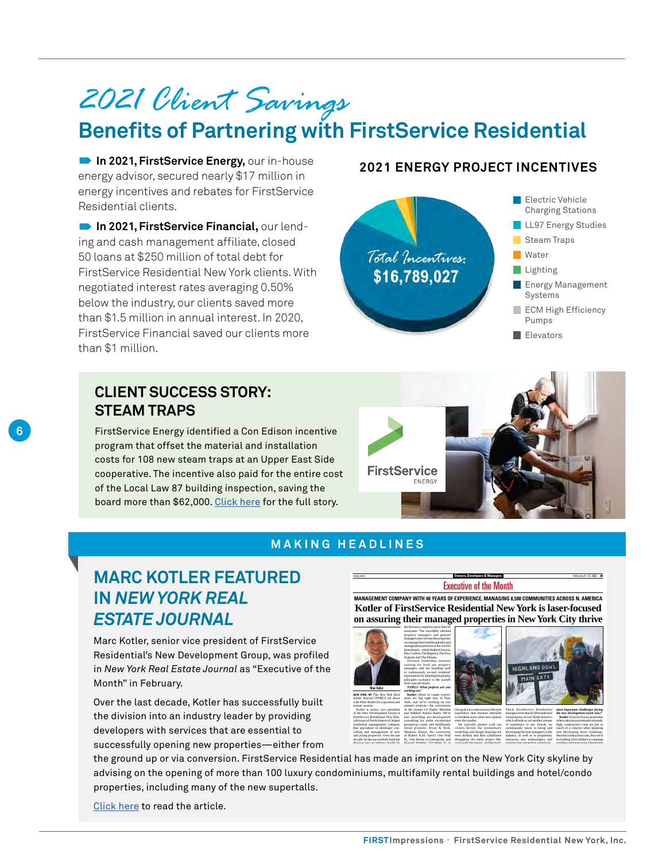### <span id="page-5-0"></span>*2021 Client Savings* **Benefits of Partnering with FirstService Residential**

**2021, FirstService Energy, our in-house 12021 ENERGY PROJECT INCENTIVES** energy advisor, secured nearly \$17 million in energy incentives and rebates for FirstService Residential clients.

 **In 2021, FirstService Financial,** our lending and cash management affiliate, closed 50 loans at \$250 million of total debt for FirstService Residential New York clients. With negotiated interest rates averaging 0.50% below the industry, our clients saved more than \$1.5 million in annual interest. In 2020, FirstService Financial saved our clients more than \$1 million.

### **CLIENT SUCCESS STORY: STEAM TRAPS**

**6**

FirstService Energy identified a Con Edison incentive program that offset the material and installation costs for 108 new steam traps at an Upper East Side cooperative. The incentive also paid for the entire cost of the Local Law 87 building inspection, saving the board more than \$62,000. [Click here](https://lp.fsresidential.com/acton/attachment/34953/f-4f22b21e-c71e-42f7-8e26-c8e897ccf154/1/-/-/-/-/UES%20Co-op%20Case%20Study%20-%20Steam%20Traps%20-%2001.pdf) for the full story.



## **FirstService ENERGY**

### **MAKING HEADLINES**

### **MARC KOTLER FEATURED IN** *NEW YORK REAL ESTATE JOURNAL*

Marc Kotler, senior vice president of FirstService Residential's New Development Group, was profiled in *New York Real Estate Journal* as "Executive of the Month" in February.

Over the last decade, Kotler has successfully built the division into an industry leader by providing developers with services that are essential to successfully opening new properties—either from

Executive of the Month **MANAGEMENT COMPANY WITH 40 YEARS OF EXPERIENCE, MANAGING 8,500 COMMUNITIES ACROSS N. AMERICA [Kotler of FirstService Residential New York is laser-focused](https://nyrej.com/executive-of-the-month-marc-kotler-of-firstservice-residential-new-york)  on assuring their managed properties in New York City thrive**

> renderings and design drawings are even drafted, and then collaborate throughout the entire project lifecycle with the design, architectural,

nyrej.com **Communication Communication Communication Communication Communication Communication February 8 - 21, 2022 3B** 



Madison House, the conversion of Robert A.M. Stern's One Wall St., One Huron in Greenpoint, and Howard Hughes' 250 Water St. at





manages more than 8,500 residential communities across North America which affords us yet another avenue of experience to use. Fourth, we continuously invest in hiring and developing the best managers in the industry, as well as in proprietary resources, new technologies, and *most important challenges facing the new development sector now?* **Kotler:** Even for luxury properties where sales price points are extremely high, construction costs are just as much of a concern when planning and developing these buildings. Beyond construction costs, the cost of everything from utilities to cleaning

supplies continues to rise. Developers

systems that streamline operations.

the ground up or via conversion. FirstService Residential has made an imprint on the New York City skyline by advising on the opening of more than 100 luxury condominiums, multifamily rental buildings and hotel/condo properties, including many of the new supertalls. most recently Madison House. Our condo, a 500-unit mixed-use develand making the building as efficient

sulting and management of new and young properties. Over the last decade, he has successfully built the division into an industry leader by

[Click here](https://nyrej.com/executive-of-the-month-marc-kotler-of-firstservice-residential-new-york) to read the article.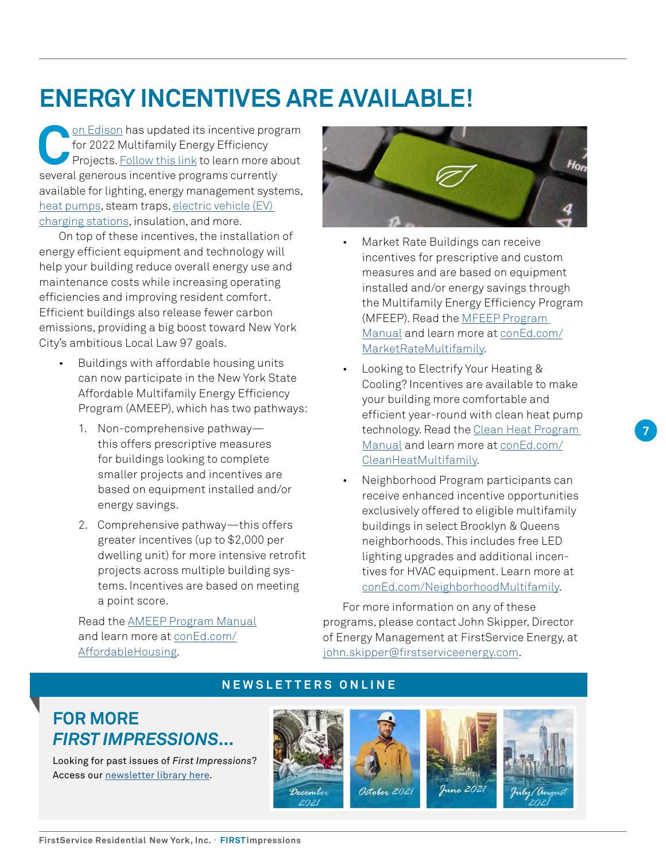### <span id="page-6-0"></span>**ENERGY INCENTIVES ARE AVAILABLE!**

<u>On Edison</u> has updated its incentive program<br>for 2022 Multifamily Energy Efficiency<br>Projects. <u>Follow this link</u> to learn more about<br>several generous incentive programs currently for 2022 Multifamily Energy Efficiency Projects. [Follow this link](https://cdnc-dcxprod2-sitecore.azureedge.net/-/media/files/coned/documents/save-energy-money/rebates-incentives-tax-credits/rebates-incentives-for-multifamily-customers/2022-incentives.pdf?rev=377144f6cbd84b5caf39c0c6229e80b4&hash=96EC765A109582DEAEB676438D8D2CB8) to learn more about several generous incentive programs currently available for lighting, energy management systems, [heat pumps,](https://www.coned.com/en/save-money/rebates-incentives-tax-credits/rebates-incentives-for-multifamily-customers/electric-heating-and-cooling-technology-for-multifamily-buildings) steam traps, [electric vehicle \(EV\)](https://www.coned.com/en/our-energy-future/technology-innovation/electric-vehicles/medium-heavy-duty-ev-charging-infrastructure-program)  [charging stations](https://www.coned.com/en/our-energy-future/technology-innovation/electric-vehicles/medium-heavy-duty-ev-charging-infrastructure-program), insulation, and more.

On top of these incentives, the installation of energy efficient equipment and technology will help your building reduce overall energy use and maintenance costs while increasing operating efficiencies and improving resident comfort. Efficient buildings also release fewer carbon emissions, providing a big boost toward New York City's ambitious Local Law 97 goals.

- Buildings with affordable housing units can now participate in the New York State Affordable Multifamily Energy Efficiency Program (AMEEP), which has two pathways:
	- 1. Non-comprehensive pathway this offers prescriptive measures for buildings looking to complete smaller projects and incentives are based on equipment installed and/or energy savings.
	- 2. Comprehensive pathway—this offers greater incentives (up to \$2,000 per dwelling unit) for more intensive retrofit projects across multiple building systems. Incentives are based on meeting a point score.

Read the [AMEEP Program Manual](https://cdne-dcxprod-sitecore.azureedge.net/-/media/files/coned/documents/save-energy-money/rebates-incentives-tax-credits/rebates-incentives-for-multifamily-customers/nys-affordable-building/customer-application.pdf?rev=7593157a94234859b0257c0d02ed2fe0&hash=C974F50E48C50FE3A64142D543EEECD6) and learn more at [conEd.com/](https://www.coned.com/en/save-money/rebates-incentives-tax-credits/rebates-incentives-for-multifamily-customers/building-owners-managers/affordable-buildings) [AffordableHousing.](https://www.coned.com/en/save-money/rebates-incentives-tax-credits/rebates-incentives-for-multifamily-customers/building-owners-managers/affordable-buildings)



- Market Rate Buildings can receive incentives for prescriptive and custom measures and are based on equipment installed and/or energy savings through the Multifamily Energy Efficiency Program (MFEEP). Read the [MFEEP Program](https://cdne-dcxprod-sitecore.azureedge.net/-/media/files/coned/documents/save-energy-money/rebates-incentives-tax-credits/rebates-incentives-for-multifamily-customers/nys-affordable-building/customer-application.pdf?rev=7593157a94234859b0257c0d02ed2fe0&hash=C974F50E48C50FE3A64142D543EEECD6)  [Manual](https://cdne-dcxprod-sitecore.azureedge.net/-/media/files/coned/documents/save-energy-money/rebates-incentives-tax-credits/rebates-incentives-for-multifamily-customers/nys-affordable-building/customer-application.pdf?rev=7593157a94234859b0257c0d02ed2fe0&hash=C974F50E48C50FE3A64142D543EEECD6) and learn more at [conEd.com/](https://www.coned.com/en/save-money/rebates-incentives-tax-credits/rebates-incentives-for-multifamily-customers/market-rate-buildings) [MarketRateMultifamily.](https://www.coned.com/en/save-money/rebates-incentives-tax-credits/rebates-incentives-for-multifamily-customers/market-rate-buildings)
- Looking to Electrify Your Heating & Cooling? Incentives are available to make your building more comfortable and efficient year-round with clean heat pump technology. Read the [Clean Heat Program](https://saveenergy.ny.gov/NYScleanheat/assets/pdf/NYS-Clean-Heat-Program-Manual.pdf)  [Manual](https://saveenergy.ny.gov/NYScleanheat/assets/pdf/NYS-Clean-Heat-Program-Manual.pdf) and learn more at [conEd.com/](https://www.coned.com/en/save-money/rebates-incentives-tax-credits/rebates-incentives-for-multifamily-customers/electric-heating-and-cooling-technology-for-multifamily-buildings) [CleanHeatMultifamily](https://www.coned.com/en/save-money/rebates-incentives-tax-credits/rebates-incentives-for-multifamily-customers/electric-heating-and-cooling-technology-for-multifamily-buildings).
- Neighborhood Program participants can receive enhanced incentive opportunities exclusively offered to eligible multifamily buildings in select Brooklyn & Queens neighborhoods. This includes free LED lighting upgrades and additional incentives for HVAC equipment. Learn more at [conEd.com/NeighborhoodMultifamily.](https://www.coned.com/en/save-money/rebates-incentives-tax-credits/neighborhood-program?customertype=8772acd8-a430-4ecc-8a9c-770a2c200431)

For more information on any of these programs, please contact John Skipper, Director of Energy Management at FirstService Energy, at [john.skipper@firstserviceenergy.com.](mailto:john.skipper%40firstserviceenergy.com?subject=)

### **NEWSLETTERS ONLINE**

### **FOR MORE**  *FIRST IMPRESSIONS***...**

Looking for past issues of *First Impressions*? Access our [newsletter library here.](https://www.fsresidential.com/new-york/news-events/first-impressions/)

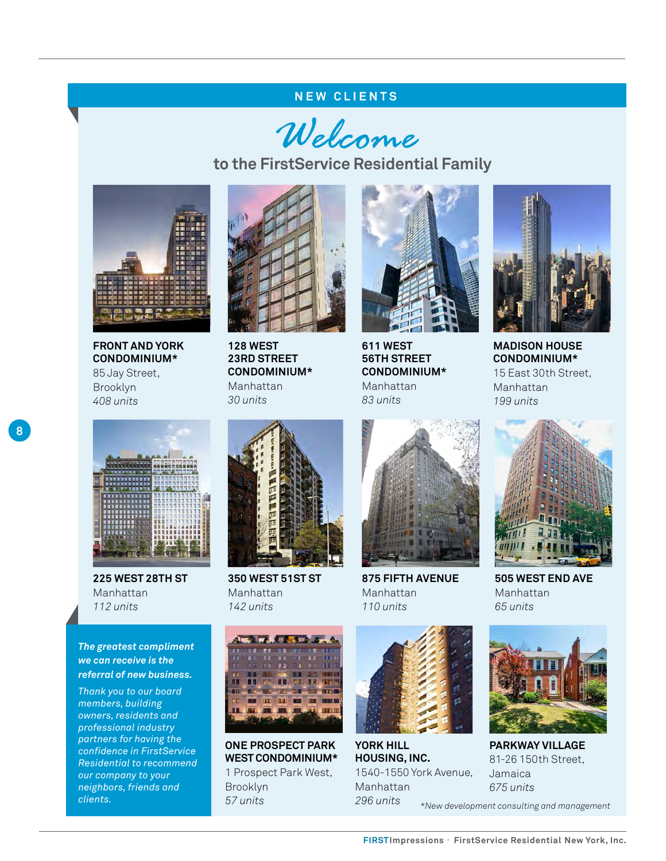### **NEW CLIENTS**

Welcome

**to the FirstService Residential Family**



**FRONT AND YORK CONDOMINIUM\***  85 Jay Street, Brooklyn *408 units*



**128 WEST 23RD STREET CONDOMINIUM\***  Manhattan *30 units*



**611 WEST 56TH STREET CONDOMINIUM\*** Manhattan *83 units*



**MADISON HOUSE CONDOMINIUM\*** 15 East 30th Street, Manhattan *199 units*



**225 WEST 28TH ST**  Manhattan *112 units*

*The greatest compliment we can receive is the referral of new business.*

*Thank you to our board members, building owners, residents and professional industry partners for having the confidence in FirstService Residential to recommend our company to your neighbors, friends and clients.*



**350 WEST 51ST ST** Manhattan *142 units*



**ONE PROSPECT PARK WEST CONDOMINIUM\***  1 Prospect Park West, Brooklyn *57 units*



**875 FIFTH AVENUE** Manhattan *110 units*



**YORK HILL HOUSING, INC.** 1540-1550 York Avenue, Manhattan *296 units*



**505 WEST END AVE** Manhattan *65 units*



**PARKWAY VILLAGE**  81-26 150th Street, Jamaica *675 units*

*\*New development consulting and management*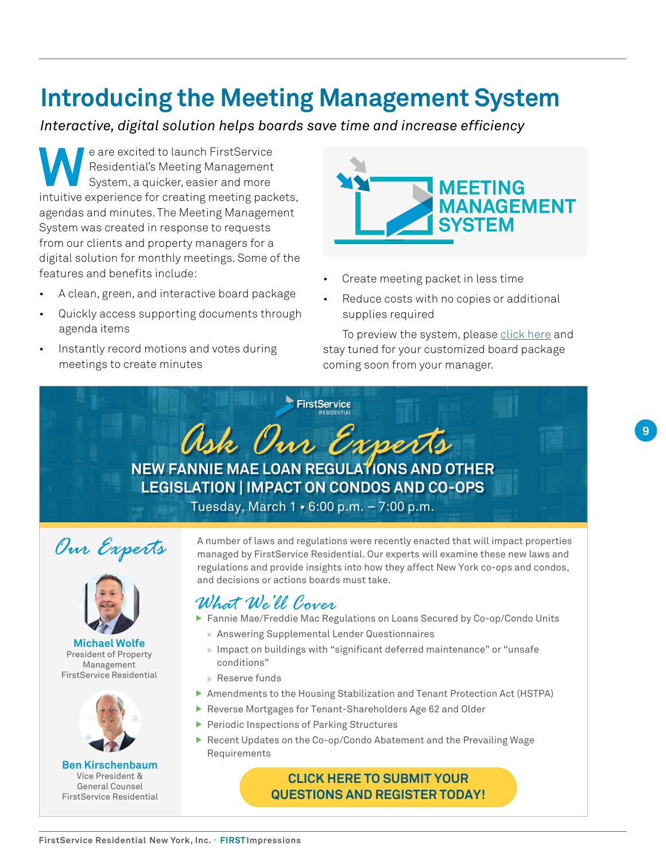### **Introducing the Meeting Management System**

*Interactive, digital solution helps boards save time and increase efficiency*

**WE are excited to launch FirstService**<br>Residential's Meeting Management<br>System, a quicker, easier and more<br>intuitive experience for creating meeting nead Residential's Meeting Management System, a quicker, easier and more intuitive experience for creating meeting packets, agendas and minutes. The Meeting Management System was created in response to requests from our clients and property managers for a digital solution for monthly meetings. Some of the features and benefits include:

- A clean, green, and interactive board package
- Quickly access supporting documents through agenda items
- Instantly record motions and votes during meetings to create minutes



- Create meeting packet in less time
- Reduce costs with no copies or additional supplies required

To preview the system, please [click here](https://www.youtube.com/watch?v=NKV1sNmSj0w) and stay tuned for your customized board package coming soon from your manager.

FirstService

**NEW FANNIE MAE LOAN REGULATIONS AND OTHER LEGISLATION | IMPACT ON CONDOS AND CO-OPS**  *[Ask Our Experts](https://app.smartsheet.com/b/form/e0a3b79d378f438596a994bf159d429b)*

Tuesday, March 1 • 6:00 p.m. – 7:00 p.m.





**Michael Wolfe**  President of Property **Management** FirstService Residential



**Ben Kirschenbaum**  Vice President & General Counsel FirstService Residential

A number of laws and regulations were recently enacted that will impact properties managed by FirstService Residential. Our experts will examine these new laws and regulations and provide insights into how they affect New York co-ops and condos, and decisions or actions boards must take.

### *What We'll Cover*

- **Fannie Mae/Freddie Mac Regulations on Loans Secured by Co-op/Condo Units** 
	- » Answering Supplemental Lender Questionnaires
	- » Impact on buildings with "significant deferred maintenance" or "unsafe conditions"
	- » Reserve funds
- ▶ Amendments to the Housing Stabilization and Tenant Protection Act (HSTPA)
- Reverse Mortgages for Tenant-Shareholders Age 62 and Older
- $\blacktriangleright$  Periodic Inspections of Parking Structures
- $\blacktriangleright$  Recent Updates on the Co-op/Condo Abatement and the Prevailing Wage Requirements

### **CLICK HERE TO SUBMIT YOUR QUESTIONS AND REGISTER TODAY!**